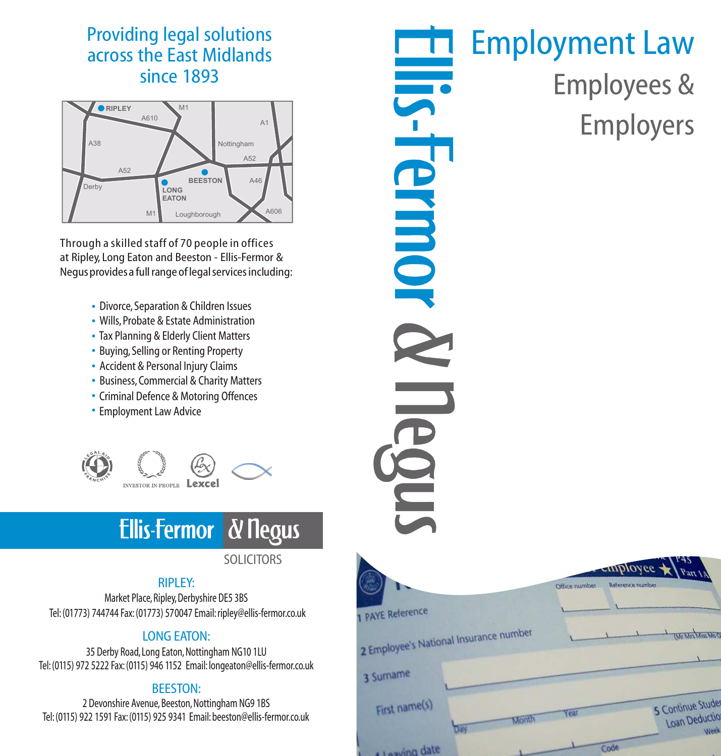## Providing legal solutions across the East Midlands since 1893



Through a skilled staff of 70 people in offices at Ripley, Long Eaton and Beeston - Ellis-Fermor & Negus provides a full range of legal services including:

- Divorce, Separation & Children Issues
- Wills, Probate & Estate Administration
- Tax Planning & Elderly Client Matters
- Buying, Selling or Renting Property
- Accident & Personal Injury Claims
- Business, Commercial & Charity Matters
- Criminal Defence & Motoring Offences
- Employment Law Advice



### **Ellis-Fermor** *&* Negus

### **SOLICITORS**

### RIPLEY:

Market Place, Ripley, Derbyshire DE5 3BS Tel:(01773) 744744 Fax:(01773) 570047 Email:ripley@ellis-fermor.co.uk

### LONG EATON:

35 Derby Road, Long Eaton, Nottingham NG10 1LU Tel:(0115) 972 5222 Fax:(0115) 946 1152 Email: longeaton@ellis-fermor.co.uk

### BEESTON:

2 Devonshire Avenue, Beeston, Nottingham NG9 1BS Tel:(0115) 922 1591 Fax:(0115) 925 9341 Email:beeston@ellis-fermor.co.uk

# Employment Law **IIIS-Fermor** Employees & Employers

|                                        | $\leftarrow$ $\leftarrow$ $\leftarrow$ $\leftarrow$ $\leftarrow$ $\leftarrow$ $\leftarrow$ $\leftarrow$ $\leftarrow$ $\leftarrow$ $\leftarrow$ $\leftarrow$ $\leftarrow$ $\leftarrow$ $\leftarrow$ $\leftarrow$ $\leftarrow$ $\leftarrow$ $\leftarrow$ $\leftarrow$ $\leftarrow$ $\leftarrow$ $\leftarrow$ $\leftarrow$ $\leftarrow$ $\leftarrow$ $\leftarrow$ $\leftarrow$ $\leftarrow$ $\leftarrow$ $\leftarrow$ $\leftarrow$ $\leftarrow$ $\leftarrow$ $\leftarrow$ $\leftarrow$ $\leftarrow$ |
|----------------------------------------|--------------------------------------------------------------------------------------------------------------------------------------------------------------------------------------------------------------------------------------------------------------------------------------------------------------------------------------------------------------------------------------------------------------------------------------------------------------------------------------------------|
|                                        | Reference number<br>Office number                                                                                                                                                                                                                                                                                                                                                                                                                                                                |
| 1 PAYE Reference                       |                                                                                                                                                                                                                                                                                                                                                                                                                                                                                                  |
| 2 Employee's National Insurance number | <b>Children Miss McC</b>                                                                                                                                                                                                                                                                                                                                                                                                                                                                         |
| 3 Surname                              |                                                                                                                                                                                                                                                                                                                                                                                                                                                                                                  |
| First name(s)<br>Month                 | 5 Continue Stude<br>Year<br><b>Loan Deductio</b><br>Week                                                                                                                                                                                                                                                                                                                                                                                                                                         |
| date not use                           | Code                                                                                                                                                                                                                                                                                                                                                                                                                                                                                             |

÷